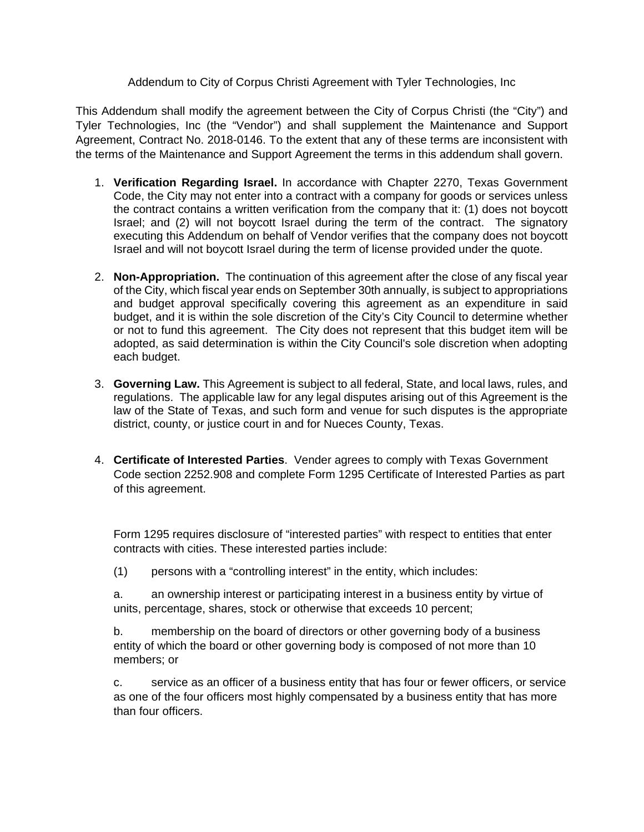Addendum to City of Corpus Christi Agreement with Tyler Technologies, Inc

This Addendum shall modify the agreement between the City of Corpus Christi (the "City") and Tyler Technologies, Inc (the "Vendor") and shall supplement the Maintenance and Support Agreement, Contract No. 2018-0146. To the extent that any of these terms are inconsistent with the terms of the Maintenance and Support Agreement the terms in this addendum shall govern.

- 1. **Verification Regarding Israel.** In accordance with Chapter 2270, Texas Government Code, the City may not enter into a contract with a company for goods or services unless the contract contains a written verification from the company that it: (1) does not boycott Israel; and (2) will not boycott Israel during the term of the contract. The signatory executing this Addendum on behalf of Vendor verifies that the company does not boycott Israel and will not boycott Israel during the term of license provided under the quote.
- 2. **Non-Appropriation.** The continuation of this agreement after the close of any fiscal year of the City, which fiscal year ends on September 30th annually, is subject to appropriations and budget approval specifically covering this agreement as an expenditure in said budget, and it is within the sole discretion of the City's City Council to determine whether or not to fund this agreement. The City does not represent that this budget item will be adopted, as said determination is within the City Council's sole discretion when adopting each budget.
- 3. **Governing Law.** This Agreement is subject to all federal, State, and local laws, rules, and regulations. The applicable law for any legal disputes arising out of this Agreement is the law of the State of Texas, and such form and venue for such disputes is the appropriate district, county, or justice court in and for Nueces County, Texas.
- 4. **Certificate of Interested Parties**. Vender agrees to comply with Texas Government Code section 2252.908 and complete Form 1295 Certificate of Interested Parties as part of this agreement.

Form 1295 requires disclosure of "interested parties" with respect to entities that enter contracts with cities. These interested parties include:

(1) persons with a "controlling interest" in the entity, which includes:

a. an ownership interest or participating interest in a business entity by virtue of units, percentage, shares, stock or otherwise that exceeds 10 percent;

b. membership on the board of directors or other governing body of a business entity of which the board or other governing body is composed of not more than 10 members; or

c. service as an officer of a business entity that has four or fewer officers, or service as one of the four officers most highly compensated by a business entity that has more than four officers.